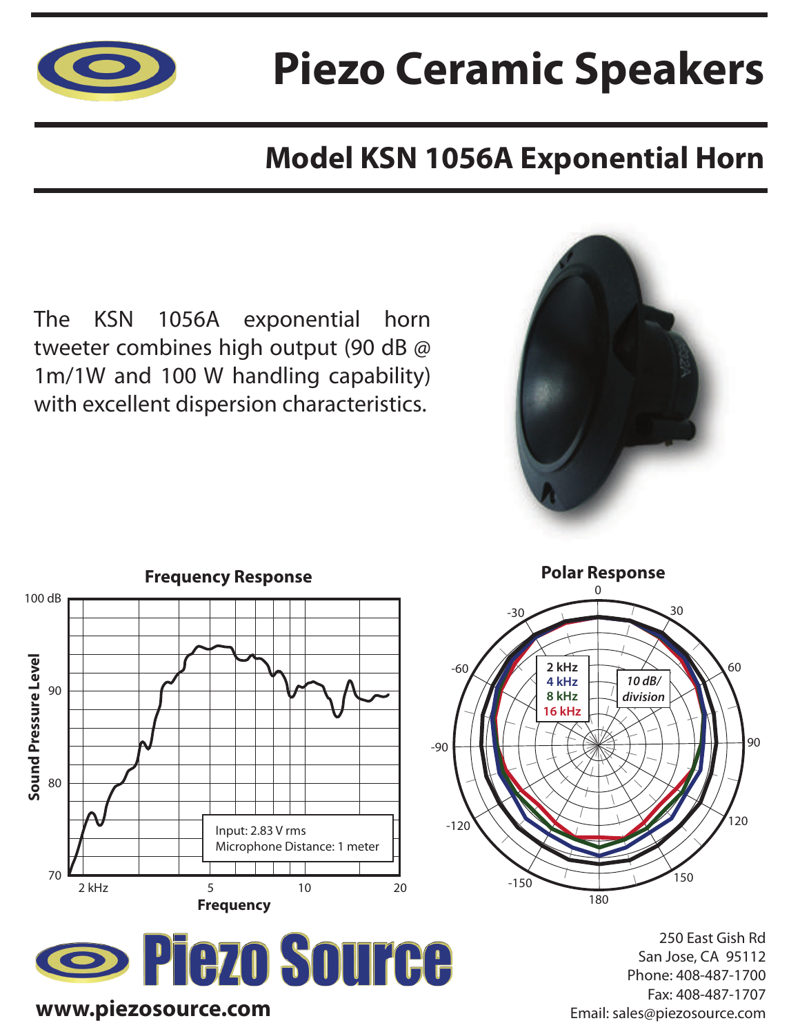

## **Piezo Ceramic Speakers**

### **Model KSN 1056A Exponential Horn**

The KSN 1056A exponential horn tweeter combines high output (90 dB @ 1m/1W and 100 W handling capability) with excellent dispersion characteristics.